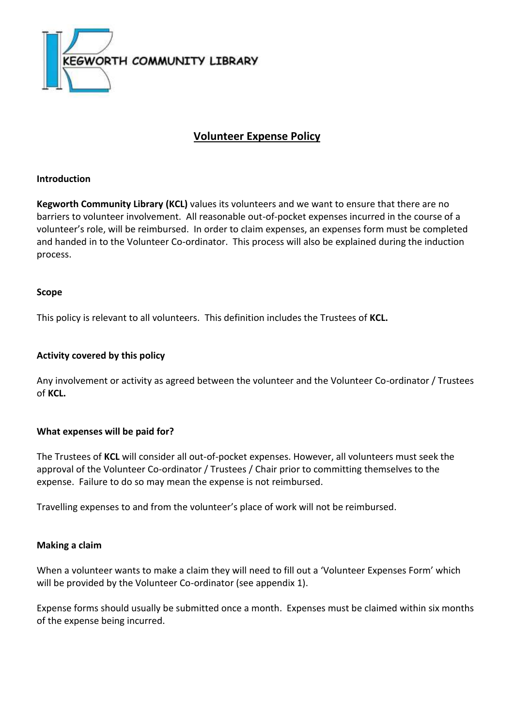

# **Volunteer Expense Policy**

## **Introduction**

**Kegworth Community Library (KCL)** values its volunteers and we want to ensure that there are no barriers to volunteer involvement. All reasonable out-of-pocket expenses incurred in the course of a volunteer's role, will be reimbursed. In order to claim expenses, an expenses form must be completed and handed in to the Volunteer Co-ordinator. This process will also be explained during the induction process.

### **Scope**

This policy is relevant to all volunteers. This definition includes the Trustees of **KCL.**

### **Activity covered by this policy**

Any involvement or activity as agreed between the volunteer and the Volunteer Co-ordinator / Trustees of **KCL.**

### **What expenses will be paid for?**

The Trustees of **KCL** will consider all out-of-pocket expenses. However, all volunteers must seek the approval of the Volunteer Co-ordinator / Trustees / Chair prior to committing themselves to the expense. Failure to do so may mean the expense is not reimbursed.

Travelling expenses to and from the volunteer's place of work will not be reimbursed.

### **Making a claim**

When a volunteer wants to make a claim they will need to fill out a 'Volunteer Expenses Form' which will be provided by the Volunteer Co-ordinator (see appendix 1).

Expense forms should usually be submitted once a month. Expenses must be claimed within six months of the expense being incurred.